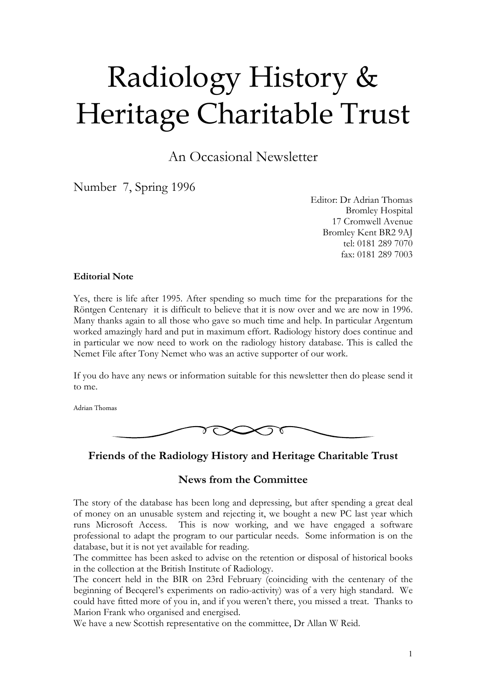# Radiology History & Heritage Charitable Trust

An Occasional Newsletter

Number 7, Spring 1996

Editor: Dr Adrian Thomas Bromley Hospital 17 Cromwell Avenue Bromley Kent BR2 9AJ tel: 0181 289 7070 fax: 0181 289 7003

#### Editorial Note

Yes, there is life after 1995. After spending so much time for the preparations for the Röntgen Centenary it is difficult to believe that it is now over and we are now in 1996. Many thanks again to all those who gave so much time and help. In particular Argentum worked amazingly hard and put in maximum effort. Radiology history does continue and in particular we now need to work on the radiology history database. This is called the Nemet File after Tony Nemet who was an active supporter of our work.

If you do have any news or information suitable for this newsletter then do please send it to me.

Adrian Thomas



Friends of the Radiology History and Heritage Charitable Trust

## News from the Committee

The story of the database has been long and depressing, but after spending a great deal of money on an unusable system and rejecting it, we bought a new PC last year which runs Microsoft Access. This is now working, and we have engaged a software professional to adapt the program to our particular needs. Some information is on the database, but it is not yet available for reading.

The committee has been asked to advise on the retention or disposal of historical books in the collection at the British Institute of Radiology.

The concert held in the BIR on 23rd February (coinciding with the centenary of the beginning of Becqerel's experiments on radio-activity) was of a very high standard. We could have fitted more of you in, and if you weren't there, you missed a treat. Thanks to Marion Frank who organised and energised.

We have a new Scottish representative on the committee, Dr Allan W Reid.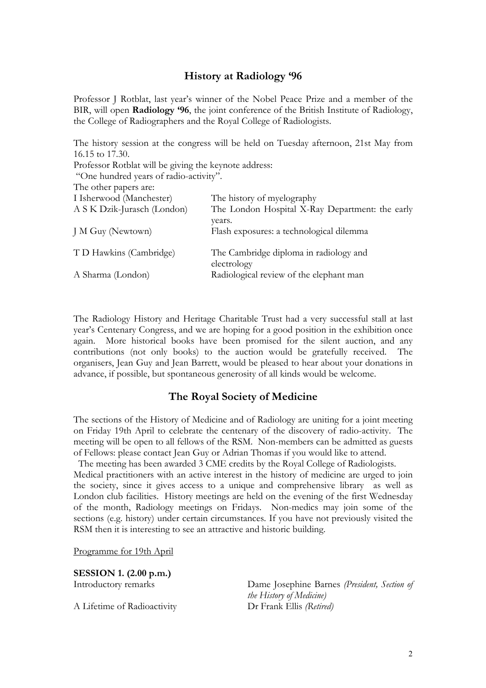## History at Radiology '96

Professor J Rotblat, last year's winner of the Nobel Peace Prize and a member of the BIR, will open Radiology '96, the joint conference of the British Institute of Radiology, the College of Radiographers and the Royal College of Radiologists.

The history session at the congress will be held on Tuesday afternoon, 21st May from 16.15 to 17.30. Professor Rotblat will be giving the keynote address: "One hundred years of radio-activity". The other papers are: I Isherwood (Manchester) The history of myelography

| A S K Dzik-Jurasch (London) | The London Hospital X-Ray Department: the early       |
|-----------------------------|-------------------------------------------------------|
| J M Guy (Newtown)           | years.<br>Flash exposures: a technological dilemma    |
| T D Hawkins (Cambridge)     | The Cambridge diploma in radiology and<br>electrology |
| A Sharma (London)           | Radiological review of the elephant man               |

The Radiology History and Heritage Charitable Trust had a very successful stall at last year's Centenary Congress, and we are hoping for a good position in the exhibition once again. More historical books have been promised for the silent auction, and any contributions (not only books) to the auction would be gratefully received. The organisers, Jean Guy and Jean Barrett, would be pleased to hear about your donations in advance, if possible, but spontaneous generosity of all kinds would be welcome.

## The Royal Society of Medicine

The sections of the History of Medicine and of Radiology are uniting for a joint meeting on Friday 19th April to celebrate the centenary of the discovery of radio-activity. The meeting will be open to all fellows of the RSM. Non-members can be admitted as guests of Fellows: please contact Jean Guy or Adrian Thomas if you would like to attend.

 The meeting has been awarded 3 CME credits by the Royal College of Radiologists. Medical practitioners with an active interest in the history of medicine are urged to join the society, since it gives access to a unique and comprehensive library as well as London club facilities. History meetings are held on the evening of the first Wednesday of the month, Radiology meetings on Fridays. Non-medics may join some of the sections (e.g. history) under certain circumstances. If you have not previously visited the RSM then it is interesting to see an attractive and historic building.

Programme for 19th April

SESSION 1. (2.00 p.m.)

A Lifetime of Radioactivity Dr Frank Ellis (Retired)

Introductory remarks Dame Josephine Barnes (President, Section of the History of Medicine)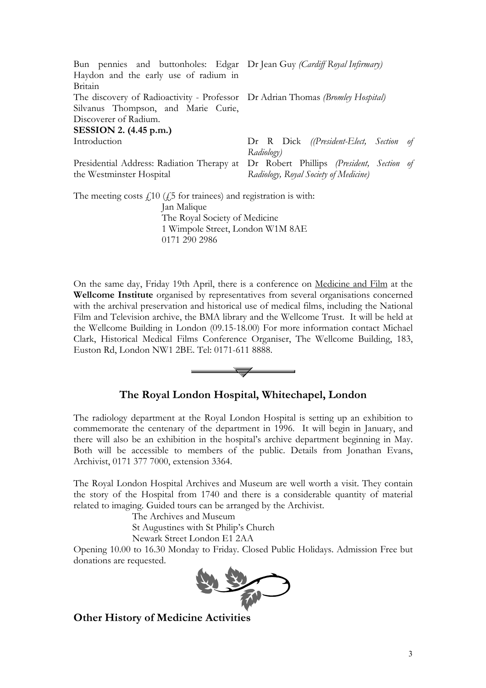| Bun pennies and buttonholes: Edgar Dr Jean Guy (Cardiff Royal Infirmary)       |                                                                                      |  |
|--------------------------------------------------------------------------------|--------------------------------------------------------------------------------------|--|
| Haydon and the early use of radium in                                          |                                                                                      |  |
| Britain                                                                        |                                                                                      |  |
| The discovery of Radioactivity - Professor Dr Adrian Thomas (Bromley Hospital) |                                                                                      |  |
| Silvanus Thompson, and Marie Curie,                                            |                                                                                      |  |
| Discoverer of Radium.                                                          |                                                                                      |  |
| SESSION 2. $(4.45 \text{ p.m.})$                                               |                                                                                      |  |
| Introduction                                                                   | Dr R Dick ((President-Elect, Section of                                              |  |
|                                                                                | Radiology)                                                                           |  |
|                                                                                | Presidential Address: Radiation Therapy at Dr Robert Phillips (President, Section of |  |
| the Westminster Hospital                                                       | Radiology, Royal Society of Medicine)                                                |  |
| The meeting costs $f110$ ( $f25$ for trainees) and registration is with:       |                                                                                      |  |
| Jan Malique                                                                    |                                                                                      |  |
| The Royal Society of Medicine                                                  |                                                                                      |  |
| 1 Wimpole Street, London W1M 8AE                                               |                                                                                      |  |

0171 290 2986

On the same day, Friday 19th April, there is a conference on Medicine and Film at the Wellcome Institute organised by representatives from several organisations concerned with the archival preservation and historical use of medical films, including the National Film and Television archive, the BMA library and the Wellcome Trust. It will be held at the Wellcome Building in London (09.15-18.00) For more information contact Michael Clark, Historical Medical Films Conference Organiser, The Wellcome Building, 183, Euston Rd, London NW1 2BE. Tel: 0171-611 8888.



# The Royal London Hospital, Whitechapel, London

The radiology department at the Royal London Hospital is setting up an exhibition to commemorate the centenary of the department in 1996. It will begin in January, and there will also be an exhibition in the hospital's archive department beginning in May. Both will be accessible to members of the public. Details from Jonathan Evans, Archivist, 0171 377 7000, extension 3364.

The Royal London Hospital Archives and Museum are well worth a visit. They contain the story of the Hospital from 1740 and there is a considerable quantity of material related to imaging. Guided tours can be arranged by the Archivist.

The Archives and Museum

St Augustines with St Philip's Church

Newark Street London E1 2AA

Opening 10.00 to 16.30 Monday to Friday. Closed Public Holidays. Admission Free but donations are requested.



Other History of Medicine Activities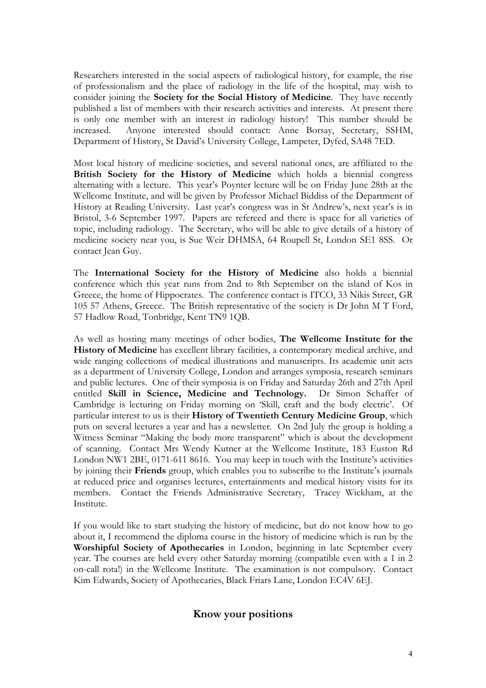Researchers interested in the social aspects of radiological history, for example, the rise of professionalism and the place of radiology in the life of the hospital, may wish to consider joining the Society for the Social History of Medicine. They have recently published a list of members with their research activities and interests. At present there is only one member with an interest in radiology history! This number should be increased. Anyone interested should contact: Anne Borsay, Secretary, SSHM, Department of History, St David's University College, Lampeter, Dyfed, SA48 7ED.

Most local history of medicine societies, and several national ones, are affiliated to the British Society for the History of Medicine which holds a biennial congress alternating with a lecture. This year's Poynter lecture will be on Friday June 28th at the Wellcome Institute, and will be given by Professor Michael Biddiss of the Department of History at Reading University. Last year's congress was in St Andrew's, next year's is in Bristol, 3-6 September 1997. Papers are refereed and there is space for all varieties of topic, including radiology. The Secretary, who will be able to give details of a history of medicine society near you, is Sue Weir DHMSA, 64 Roupell St, London SE1 8SS. Or contact Jean Guy.

The International Society for the History of Medicine also holds a biennial conference which this year runs from 2nd to 8th September on the island of Kos in Greece, the home of Hippocrates. The conference contact is ITCO, 33 Nikis Street, GR 105 57 Athens, Greece. The British representative of the society is Dr John M T Ford, 57 Hadlow Road, Tonbridge, Kent TN9 1QB.

As well as hosting many meetings of other bodies, The Wellcome Institute for the History of Medicine has excellent library facilities, a contemporary medical archive, and wide ranging collections of medical illustrations and manuscripts. Its academic unit acts as a department of University College, London and arranges symposia, research seminars and public lectures. One of their symposia is on Friday and Saturday 26th and 27th April entitled Skill in Science, Medicine and Technology. Dr Simon Schaffer of Cambridge is lecturing on Friday morning on 'Skill, craft and the body electric'. Of particular interest to us is their History of Twentieth Century Medicine Group, which puts on several lectures a year and has a newsletter. On 2nd July the group is holding a Witness Seminar "Making the body more transparent" which is about the development of scanning. Contact Mrs Wendy Kutner at the Wellcome Institute, 183 Euston Rd London NW1 2BE, 0171-611 8616. You may keep in touch with the Institute's activities by joining their Friends group, which enables you to subscribe to the Institute's journals at reduced price and organises lectures, entertainments and medical history visits for its members. Contact the Friends Administrative Secretary, Tracey Wickham, at the Institute.

If you would like to start studying the history of medicine, but do not know how to go about it, I recommend the diploma course in the history of medicine which is run by the Worshipful Society of Apothecaries in London, beginning in late September every year. The courses are held every other Saturday morning (compatible even with a 1 in 2 on-call rota!) in the Wellcome Institute. The examination is not compulsory. Contact Kim Edwards, Society of Apothecaries, Black Friars Lane, London EC4V 6EJ.

## Know your positions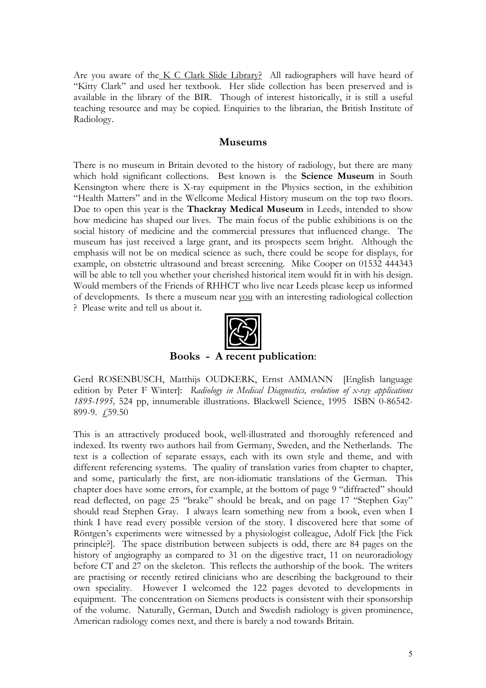Are you aware of the K C Clark Slide Library? All radiographers will have heard of "Kitty Clark" and used her textbook. Her slide collection has been preserved and is available in the library of the BIR. Though of interest historically, it is still a useful teaching resource and may be copied. Enquiries to the librarian, the British Institute of Radiology.

#### Museums

There is no museum in Britain devoted to the history of radiology, but there are many which hold significant collections. Best known is the **Science Museum** in South Kensington where there is X-ray equipment in the Physics section, in the exhibition "Health Matters" and in the Wellcome Medical History museum on the top two floors. Due to open this year is the Thackray Medical Museum in Leeds, intended to show how medicine has shaped our lives. The main focus of the public exhibitions is on the social history of medicine and the commercial pressures that influenced change. The museum has just received a large grant, and its prospects seem bright. Although the emphasis will not be on medical science as such, there could be scope for displays, for example, on obstetric ultrasound and breast screening. Mike Cooper on 01532 444343 will be able to tell you whether your cherished historical item would fit in with his design. Would members of the Friends of RHHCT who live near Leeds please keep us informed of developments. Is there a museum near you with an interesting radiological collection ? Please write and tell us about it.



Books - A recent publication:

Gerd ROSENBUSCH, Matthijs OUDKERK, Ernst AMMANN [English language edition by Peter F Winter]: Radiology in Medical Diagnostics, evolution of x-ray applications 1895-1995, 524 pp, innumerable illustrations. Blackwell Science, 1995 ISBN 0-86542- 899-9. £59.50

This is an attractively produced book, well-illustrated and thoroughly referenced and indexed. Its twenty two authors hail from Germany, Sweden, and the Netherlands. The text is a collection of separate essays, each with its own style and theme, and with different referencing systems. The quality of translation varies from chapter to chapter, and some, particularly the first, are non-idiomatic translations of the German. This chapter does have some errors, for example, at the bottom of page 9 "diffracted" should read deflected, on page 25 "brake" should be break, and on page 17 "Stephen Gay" should read Stephen Gray. I always learn something new from a book, even when I think I have read every possible version of the story. I discovered here that some of Röntgen's experiments were witnessed by a physiologist colleague, Adolf Fick [the Fick principle?]. The space distribution between subjects is odd, there are 84 pages on the history of angiography as compared to 31 on the digestive tract, 11 on neuroradiology before CT and 27 on the skeleton. This reflects the authorship of the book. The writers are practising or recently retired clinicians who are describing the background to their own speciality. However I welcomed the 122 pages devoted to developments in equipment. The concentration on Siemens products is consistent with their sponsorship of the volume. Naturally, German, Dutch and Swedish radiology is given prominence, American radiology comes next, and there is barely a nod towards Britain.